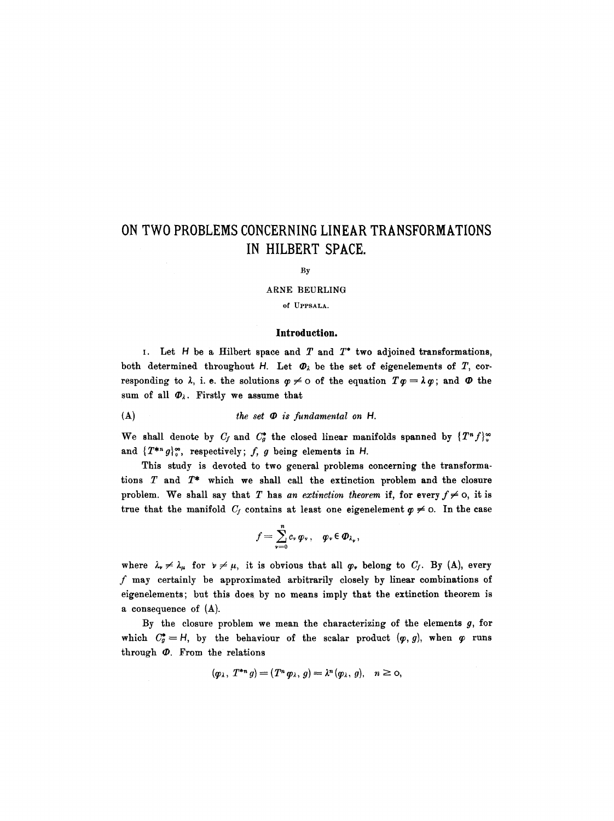# **ON TWO PROBLEMS CONCERNING LINEAR TRANSFORMATIONS IN HILBERT SPACE.**

#### By

#### **ARNE** BEURLING

of UPPSALA.

### **Introduction.**

I. Let  $H$  be a Hilbert space and  $T$  and  $T^*$  two adjoined transformations, both determined throughout H. Let  $\Phi_{\lambda}$  be the set of eigenelements of T, corresponding to  $\lambda$ , i. e. the solutions  $\varphi \neq 0$  of the equation  $T\varphi = \lambda \varphi$ ; and  $\varPhi$  the sum of all  $\Phi_{\lambda}$ . Firstly we assume that

$$
(A) \t\t the set ① is fundamental on H.
$$

We shall denote by  $C_f$  and  $C_g^*$  the closed linear manifolds spanned by  $\{T^nf\}_o^{\infty}$ and  $\{T^{*n}g\}_{o}^{\infty}$ , respectively; f, g being elements in H.

This study is devoted to two general problems concerning the transformations  $T$  and  $T^*$  which we shall call the extinction problem and the closure problem. We shall say that T has an extinction theorem if, for every  $f \neq 0$ , it is true that the manifold  $C_j$  contains at least one eigenelement  $\varphi \neq 0$ . In the case

$$
f=\sum_{\nu=0}^n c_\nu \varphi_\nu\,,\quad \varphi_\nu\in \mathbf{D}_{\lambda_\nu}\,,
$$

where  $\lambda_{\nu} \neq \lambda_{\mu}$  for  $\nu \neq \mu$ , it is obvious that all  $\varphi_{\nu}$  belong to  $C_f$ . By (A), every f may certainly be approximated arbitrarily closely by linear combinations of eigenelements; but this does by no means imply that the extinction theorem is a consequence of (A).

By the closure problem we mean the characterizing of the elements  $g$ , for which  $C_g^* = H$ , by the behaviour of the scalar product  $(p, g)$ , when  $\varphi$  runs through  $\Phi$ . From the relations

$$
(\varphi_{\lambda}, T^{*n} g) = (T^n \varphi_{\lambda}, g) = \lambda^n (\varphi_{\lambda}, g), \quad n \geq 0,
$$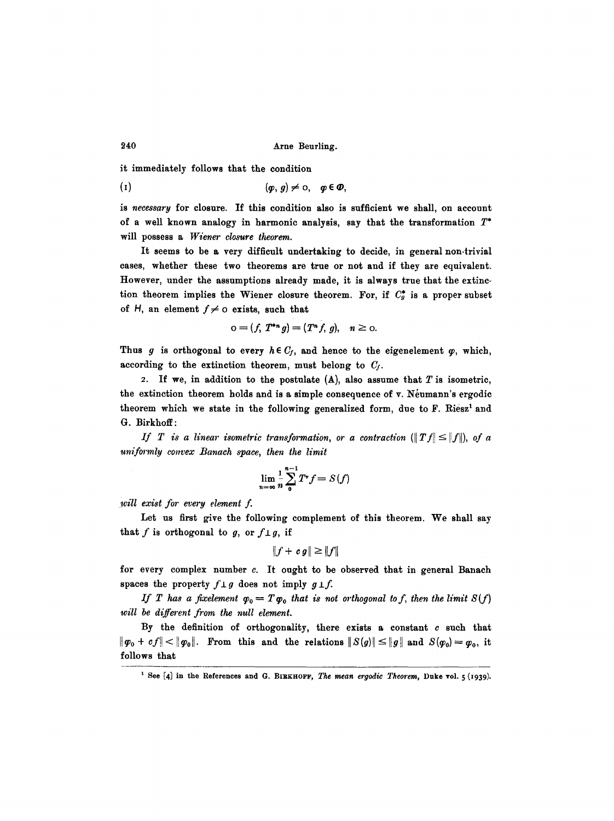it immediately follows that the condition

(1)  $(\varphi, g) \neq 0, \quad \varphi \in \varPhi$ ,

is *necessary* for closure. If this condition also is sufficient we shall, on account of a well known analogy in harmonic analysis, say that the transformation  $T^*$ will possess a *Wiener closure theorem.* 

It seems to be a very difficult undertaking to decide, in general non-trivial cases, whether these two theorems are true or not and if they are equivalent. However, under the assumptions already made, it is always true that the extinction theorem implies the Wiener closure theorem. For, if  $C_g^*$  is a proper subset of H, an element  $f \neq o$  exists, such that

$$
o = (f, T^{*n} g) = (T^n f, g), \quad n \geq o.
$$

Thus g is orthogonal to every  $h \in C_f$ , and hence to the eigenelement  $\varphi$ , which, according to the extinction theorem, must belong to  $C_f$ .

2. If we, in addition to the postulate  $(A)$ , also assume that T is isometric, the extinction theorem holds and is a simple consequence of  $\bf{v}$ . Neumann's ergodic theorem which we state in the following generalized form, due to  $F$ . Riesz<sup>1</sup> and G. Birkhoff :

*If* T is a linear isometric transformation, or a contraction  $(\|Tf\| \leq \|f\|)$ , of a *um:formly convex Banaeh space, then the limit* 

$$
\lim_{n=\infty} \frac{1}{n} \sum_{0}^{n-1} T^* f = S(f)
$$

*will exist for every element f.* 

Let us first give the following complement of this theorem. We shall say that f is orthogonal to g, or  $f \perp g$ , if

$$
||f + cg|| \geq ||f||
$$

for every complex number  $c$ . It ought to be observed that in general Banach spaces the property  $f \perp g$  does not imply  $g \perp f$ .

*If T has a fixelement*  $\varphi_0 = T \varphi_0$  that is not orthogonal to f, then the limit  $S(f)$ *will be different from the null element.* 

By the definition of orthogonality, there exists a constant  $c$  such that  $||\varphi_0 + cf|| < ||\varphi_0||$ . From this and the relations  $||S(g)|| \le ||g||$  and  $S(\varphi_0) = \varphi_0$ , it follows that

<sup>&</sup>lt;sup>1</sup> See [4] in the References and G. BIBKHOFF, *The mean ergodic Theorem*, Duke vol. 5 (1939).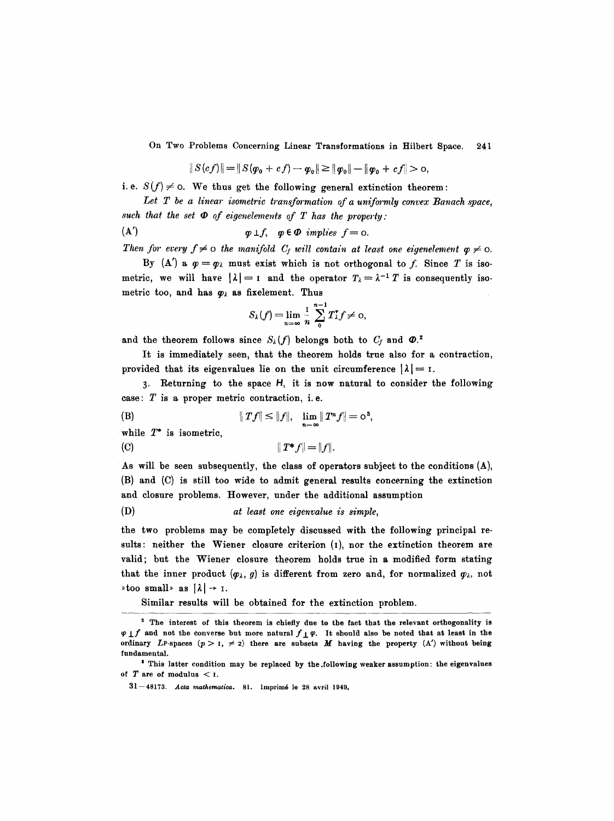$$
\|S(cf)\| = \|S(\varphi_0 + cf) - \varphi_0\| \ge \|\varphi_0\| - \|\varphi_0 + cf\| > 0,
$$

*i.e.*  $S(f) \neq o$ . We thus get the following general extinction theorem:

Let T be a linear isometric transformation of a uniformly convex Banach space, such that the set  $\Phi$  of eigenelements of  $T$  has the property:

$$
\text{(A')} \quad \mathbf{p} \perp f, \quad \mathbf{p} \in \mathbf{D} \quad implies \quad f = \text{o}.
$$

Then for every  $f \neq o$  the manifold  $C_f$  will contain at least one eigenelement  $\varphi \neq o$ .

By (A') a  $\varphi = \varphi_\lambda$  must exist which is not orthogonal to f. Since T is isometric, we will have  $|\lambda|=1$  and the operator  $T_{\lambda}=\lambda^{-1} T$  is consequently isometric too, and has  $\varphi_{\lambda}$  as fixelement. Thus

$$
S_{\lambda}(f)=\lim_{n=\infty}\frac{1}{n}\sum_{0}^{n-1}T_{\lambda}^{*}f\neq 0,
$$

and the theorem follows since  $S_{\lambda}(f)$  belongs both to  $C_f$  and  $\Phi$ .<sup>2</sup>

It is immediately seen, that the theorem holds true also for a contraction, provided that its eigenvalues lie on the unit circumference  $|\lambda| = 1$ .

3. Returning to the space H, it is now natural to consider the following case:  $T$  is a proper metric contraction, i.e.

(B) 
$$
||Tf|| \le ||f||
$$
,  $\lim_{n = \infty} ||T^n f|| = o^3$ ,

while  $T^*$  is isometric,

(C)  $||T^*f|| = ||f||.$ 

As will be seen subsequently, the class of operators subject to the conditions  $(A)$ , (B) and (C) is still too wide to admit general results concerning the extinction and closure problems. However, under the additional assumption

```
(D) at least one eigenvalue is simple,
```
the two problems may be completely discussed with the following principal results: neither the Wiener closure criterion (1), nor the extinction theorem are valid; but the Wiener closure theorem holds true in a modified form stating that the inner product  $(\varphi_{\lambda}, g)$  is different from zero and, for normalized  $\varphi_{\lambda}$ , not  $\ast$  too small  $\ast$  as  $|\lambda| \rightarrow 1$ .

Similar results will be obtained for the extinction problem.

<sup>&</sup>lt;sup>2</sup> The interest of this theorem is chiefly due to the fact that the relevant orthogonality is  $\varphi \perp f$  and not the converse but more natural  $f\perp \varphi$ . It should also be noted that at least in the ordinary LP-spaces  $(p > 1, \neq 2)$  there are subsets M having the property (A') without being fundamental.

<sup>&#</sup>x27; This latter condition may be replaced by the.following weaker assumption: **the eigenvalues**  of  $T$  are of modulus  $<$  I.

<sup>31--48173.</sup> *Acta mathematica.* 81. Imprim6 le 28 avril 1949.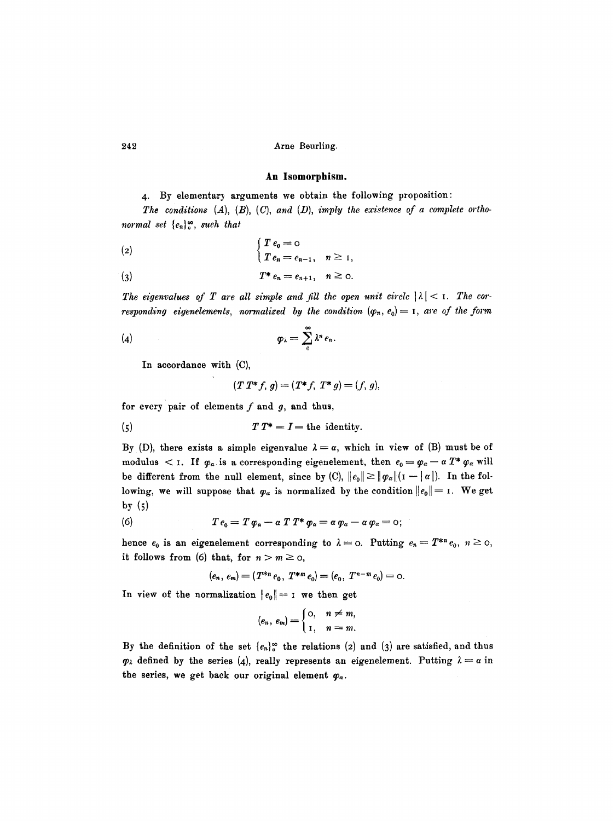#### **An Isomorphism.**

### 4. By elementary arguments we obtain the following proposition:

*The conditions (A), (B), (C), and (D), imply the existence of a complete orthonormal set*  ${e_n}^{\infty}$ , *such that* 

(2)  
\n
$$
\begin{cases}\nT e_0 = 0 \\
T e_n = e_{n-1}, \quad n \ge 1,\n\end{cases}
$$
\n(3)  
\n
$$
T^* e_n = e_{n+1}, \quad n \ge 0.
$$

The eigenvalues of T are all simple and fill the open unit circle  $|\lambda| < 1$ . The cor*responding eigenelements, normalized by the condition*  $(\varphi_n, e_0) = I$ , are of the form

$$
(\mathbf{q}) \hspace{1cm} \boldsymbol{\varphi}_{\lambda} = \sum_{0}^{\infty} \lambda^{n} \, e_{n}.
$$

In accordance with (C),

$$
(T T^* f, g) = (T^* f, T^* g) = (f, g),
$$

for every pair of elements  $f$  and  $g$ , and thus,

$$
(5) \tT T^* = I = \text{the identity.}
$$

By (D), there exists a simple eigenvalue  $\lambda = \alpha$ , which in view of (B) must be of modulus  $\lt$  1. If  $\varphi_\alpha$  is a corresponding eigenelement, then  $e_0 = \varphi_\alpha - \alpha T^* \varphi_\alpha$  will be different from the null element, since by (C),  $||e_0|| \ge ||\varphi_\alpha|| (1 - ||\alpha||)$ . In the following, we will suppose that  $\varphi_{\alpha}$  is normalized by the condition  $||e_0||=1$ . We get by (5)

(6) 
$$
T e_0 = T \varphi_a - \alpha T T^* \varphi_a = \alpha \varphi_a - \alpha \varphi_a = 0;
$$

hence  $e_0$  is an eigenelement corresponding to  $\lambda = 0$ . Putting  $e_n = T^{*n} e_0$ ,  $n \ge 0$ , it follows from (6) that, for  $n > m \ge 0$ ,

$$
(e_n, e_m) = (T^{*n} e_0, T^{*m} e_0) = (e_0, T^{n-m} e_0) = 0.
$$

In view of the normalization  $||e_0|| = I$  we then get

$$
(e_n, e_m) = \begin{cases} 0, & n \neq m, \\ 1, & n = m. \end{cases}
$$

By the definition of the set  ${e_n}_0^*$  the relations (2) and (3) are satisfied, and thus  $\varphi_{\lambda}$  defined by the series (4), really represents an eigenelement. Putting  $\lambda = \alpha$  in the series, we get back our original element  $\varphi_{\alpha}$ .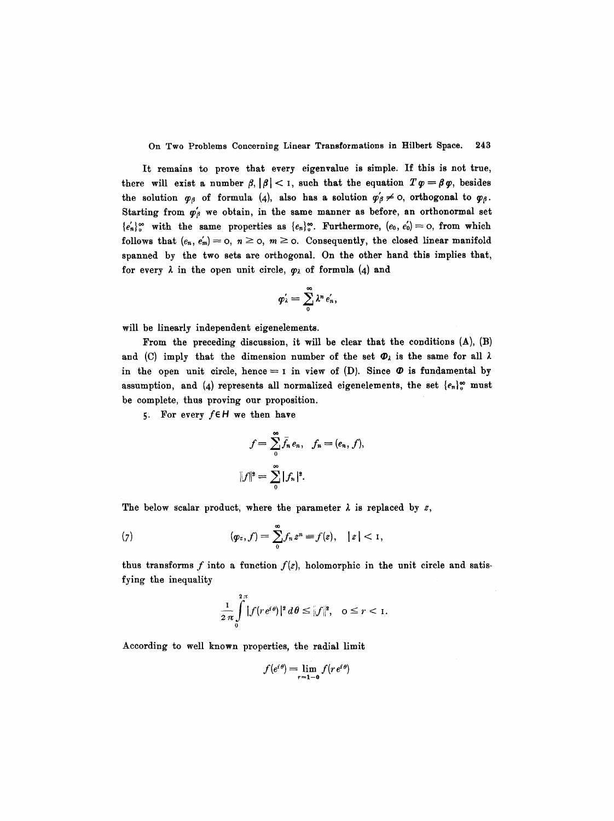It remains to prove that every eigenvalue is simple. If this is not true, there will exist a number  $\beta$ ,  $|\beta| < 1$ , such that the equation  $T\varphi = \beta\varphi$ , besides the solution  $\varphi_{\beta}$  of formula (4), also has a solution  $\varphi'_{\beta} \neq 0$ , orthogonal to  $\varphi_{\beta}$ . Starting from  $\varphi'_{\beta}$  we obtain, in the same manner as before, an orthonormal set  ${e'_n}_0^{\infty}$  with the same properties as  ${e_n}_0^{\infty}$ . Furthermore,  $(e_0, e'_0)=0$ , from which follows that  $(e_n, e'_m) = 0, n \ge 0, m \ge 0$ . Consequently, the closed linear manifold spanned by the two sets are orthogonal. On the other hand this implies that, for every  $\lambda$  in the open unit circle,  $\varphi_{\lambda}$  of formula (4) and

$$
\varphi'_\lambda=\sum_0^\infty \lambda^n e'_n,
$$

will be linearly independent eigenelements.

From the preceding discussion, it will be clear that the conditions  $(A)$ ,  $(B)$ and (C) imply that the dimension number of the set  $\mathcal{D}_\lambda$  is the same for all  $\lambda$ in the open unit circle, hence =  $\iota$  in view of (D). Since  $\Phi$  is fundamental by assumption, and (4) represents all normalized eigenelements, the set  $\{e_n\}_v^\infty$  must be complete, thus proving our proposition.

5. For every  $f \in H$  we then have

$$
f = \sum_{0}^{\infty} \overline{f}_n e_n, \quad f_n = (e_n, f),
$$
  

$$
||f||^2 = \sum_{0}^{\infty} |f_n|^2.
$$

The below scalar product, where the parameter  $\lambda$  is replaced by z,

(7) 
$$
(\varphi_z, f) = \sum_{0}^{\infty} f_n z^n \equiv f(z), \quad |z| < 1,
$$

thus transforms f into a function  $f(z)$ , holomorphic in the unit circle and satisfying the inequality

$$
\frac{1}{2\pi}\int\limits_{0}^{2\pi}\left|f(re^{i\theta})\right|^{2}d\theta\leq\left\|f\right\|^{2},\quad 0\leq r<1.
$$

According to well known properties, the radial limit

$$
f(e^{i\theta}) = \lim_{r=1-0} f(re^{i\theta})
$$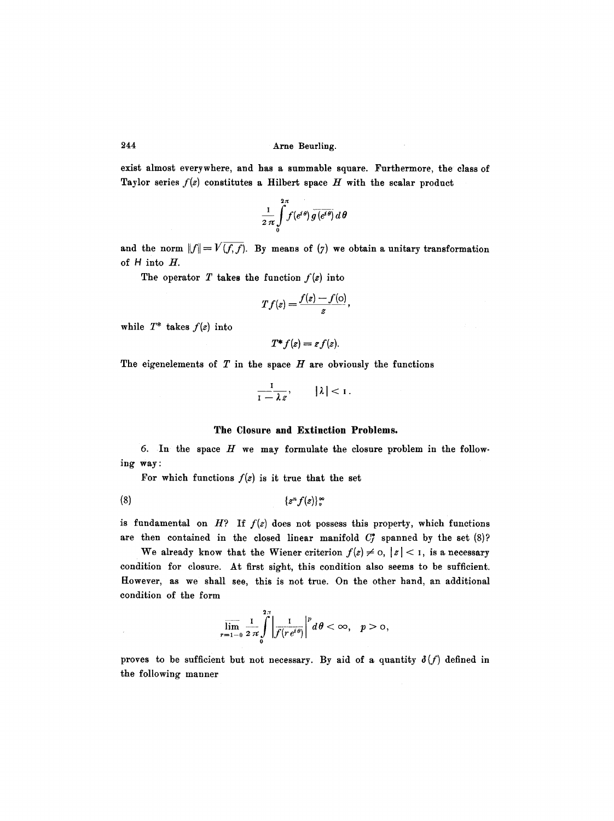exist almost everywhere, and has a summable square. Furthermore, the class of Taylor series  $f(z)$  constitutes a Hilbert space  $H$  with the scalar product

$$
\frac{1}{2\,\pi}\int\limits^{2\,\pi}_0 f(e^{i\,\theta})\,\overline{g\,(e^{i\,\theta})}\,d\,\theta
$$

and the norm  $||f|| = V(f, f)$ . By means of (7) we obtain a unitary transformation of H into H.

The operator T takes the function  $f(z)$  into

$$
Tf(z) = \frac{f(z) - f(o)}{z},
$$

while  $T^*$  takes  $f(z)$  into

$$
T^*f(z)=zf(z).
$$

The eigenelements of  $T$  in the space  $H$  are obviously the functions

$$
\frac{1}{1-\lambda\,z},\qquad |\lambda|<1\,.
$$

# **The Closure and Extinction Problems.**

6. In the space  $H$  we may formulate the closure problem in the following way :

For which functions  $f(z)$  is it true that the set

$$
(8) \qquad \qquad \{z^n f(z)\}_0^\infty
$$

is fundamental on  $H$ ? If  $f(z)$  does not possess this property, which functions are then contained in the closed linear manifold  $C_f^*$  spanned by the set (8)?

We already know that the Wiener criterion  $f(z) \neq 0, |z| < 1$ , is a necessary condition for closure. At first sight, this condition also seems to be sufficient. However, as we shall see, this is not true. On the other hand, an additional condition of the form

$$
\overline{\lim}_{r=1-0}\frac{1}{2\pi}\int\limits_{0}^{2\pi}\left|\frac{1}{f(re^{i\theta})}\right|^{p}d\theta<\infty, \quad p>0,
$$

proves to be sufficient but not necessary. By aid of a quantity  $\delta(f)$  defined in the following manner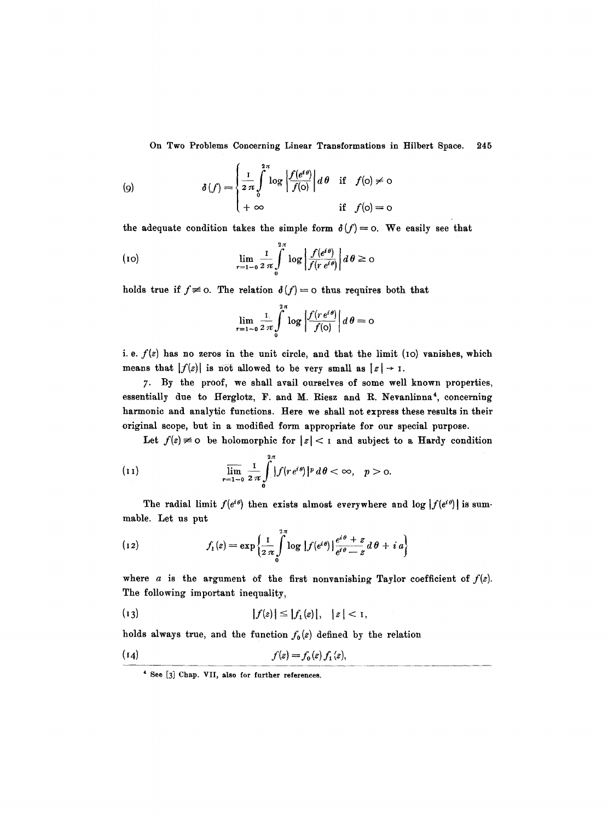$$
\delta(f) = \begin{cases} \frac{1}{2\pi} \int_0^{2\pi} \log \left| \frac{f(e^{i\theta})}{f(o)} \right| d\theta & \text{if } f(o) \neq o \\ +\infty & \text{if } f(o) = o \end{cases}
$$

the adequate condition takes the simple form  $\delta(f)=0$ . We easily see that

(10) 
$$
\lim_{r=1-0} \frac{1}{2\pi} \int_{0}^{2\pi} \log \left| \frac{f(e^{i\theta})}{f(r e^{i\theta})} \right| d\theta \ge 0
$$

holds true if  $f \neq 0$ . The relation  $\delta(f)=0$  thus requires both that

$$
\lim_{r=1-0} \frac{1}{2\pi i} \int_{0}^{2\pi} \log \left| \frac{f(r e^{i\theta})}{f(0)} \right| d\theta = 0
$$

*i. e.*  $f(z)$  has no zeros in the unit circle, and that the limit (10) vanishes, which means that  $|f(z)|$  is not allowed to be very small as  $|z| \rightarrow 1$ .

7' By the proof, we shall avail ourselves of some well known properties, essentially due to Herglotz, F. and M. Riesz and R. Nevanlinna<sup>4</sup>, concerning harmonic and analytic functions. Here we shall not express these results in their original scope, but in a modified form appropriate for our special purpose.

Let  $f(z) \neq 0$  be holomorphic for  $|z| < 1$  and subject to a Hardy condition

(11) 
$$
\overline{\lim}_{r=1-0} \frac{1}{2\pi} \int_{0}^{2\pi} |f(re^{i\theta})|^p d\theta < \infty, \quad p > 0.
$$

The radial limit  $f(e^{i\theta})$  then exists almost everywhere and log  $|f(e^{i\theta})|$  is summable. Let us put

(12) 
$$
f_1(z) = \exp\left\{\frac{1}{2\pi}\int\limits_0^{2\pi} \log |f(e^{i\theta})| \frac{e^{i\theta} + z}{e^{i\theta} - z} d\theta + i a\right\}
$$

where *a* is the argument of the first nonvanishing Taylor coefficient of  $f(z)$ . The following important inequality,

(13) 
$$
|f(z)| \leq |f_1(z)|, |z| < 1,
$$

holds always true, and the function  $f_0(z)$  defined by the relation

$$
(14) \t\t f(z) = f_0(z) f_1(z),
$$

<sup>4</sup> See [3] Chap. VII, also for further references.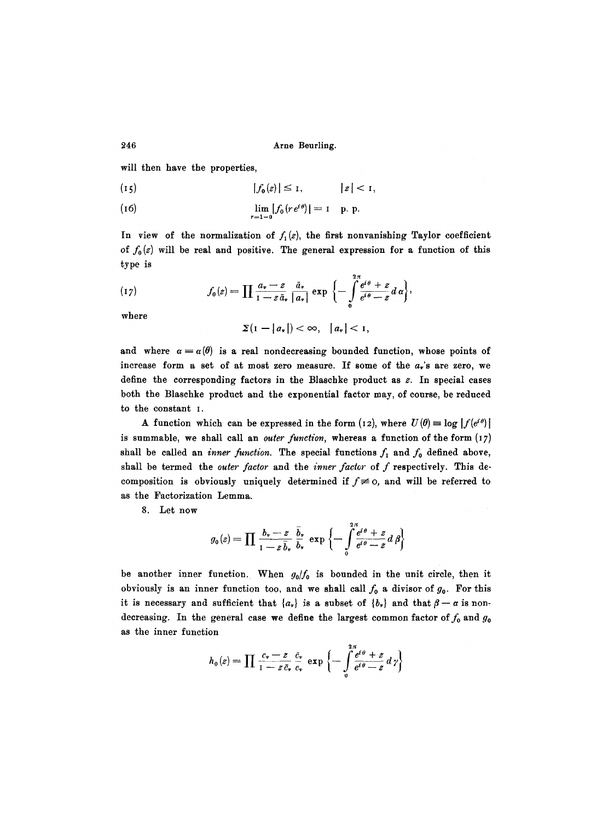will then have the properties,

$$
|f_0(z)| \leq I, \qquad |z| < I,
$$

(16) 
$$
\lim_{r=1-0} |f_0(re^{i\theta})| = 1
$$
 p. p.

In view of the normalization of  $f_1(z)$ , the first nonvanishing Taylor coefficient of  $f_0(z)$  will be real and positive. The general expression for a function of this type is

(17) 
$$
f_0(z) = \prod \frac{a_v - z}{1 - z \bar{a}_v} \frac{\bar{a}_v}{|a_v|} \exp \left\{-\int \limits_0^{2\pi} \frac{e^{i\theta} + z}{e^{i\theta} - z} d\alpha\right\},
$$

where

$$
\Sigma(1-|a_{\nu}|)<\infty, \quad |a_{\nu}|<1,
$$

and where  $\alpha = \alpha(\theta)$  is a real nondecreasing bounded function, whose points of increase form a set of at most zero measure. If some of the  $a_r$ 's are zero, we define the corresponding factors in the Blaschke product as  $z$ . In special cases both the Blaschke product and the exponential factor may, of course, be reduced to the constant I.

A function which can be expressed in the form (12), where  $U(\theta) = \log |f(e^{i\theta})|$ is summable, we shall call an *outer function*, whereas a function of the form (17) shall be called an *inner function*. The special functions  $f_1$  and  $f_0$  defined above, shall be termed the *outer factor* and the *inner factor* of f respectively. This decomposition is obviously uniquely determined if  $f \neq 0$ , and will be referred to as the Factorization Lemma.

8. Let now

$$
g_0(z) = \prod \frac{b_v - z}{1 - z \overline{b}_v} \frac{\overline{b}_v}{b_v} \exp \left\{-\int_0^2 \frac{e^{i\theta} + z}{e^{i\theta} - z} d\beta\right\}
$$

be another inner function. When  $g_0/f_0$  is bounded in the unit circle, then it obviously is an inner function too, and we shall call  $f_0$  a divisor of  $g_0$ . For this it is necessary and sufficient that  $\{a_{\nu}\}\$ is a subset of  $\{b_{\nu}\}\$  and that  $\beta-\alpha$  is nondecreasing. In the general case we define the largest common factor of  $f_0$  and  $g_0$ as the inner function

$$
h_0(z) = \prod \frac{c_v - z}{1 - z \bar{c}_v} \frac{\bar{c}_v}{c_v} \exp \left\{-\int \frac{e^{i\theta} + z}{e^{i\theta} - z} d\gamma\right\}
$$

246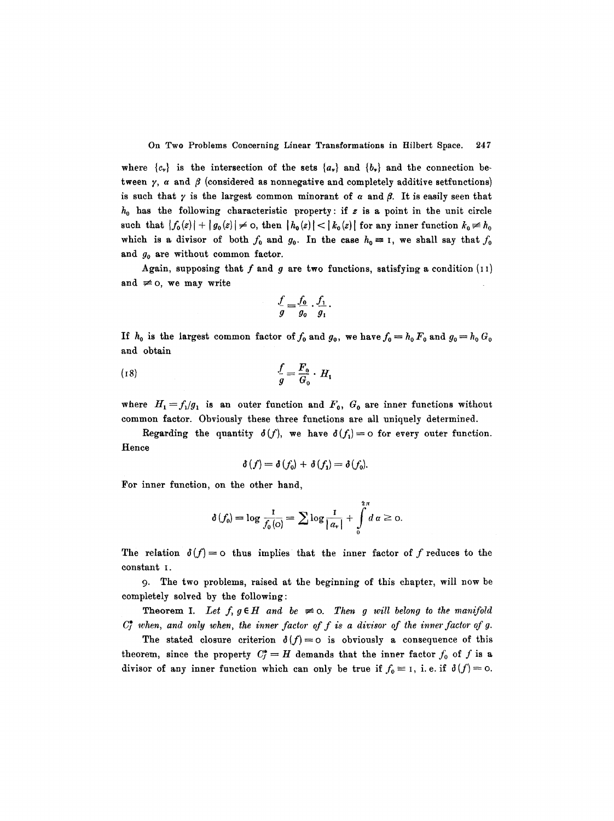where  ${c<sub>r</sub>}$  is the intersection of the sets  ${a<sub>r</sub>}$  and  ${b<sub>r</sub>}$  and the connection between  $\gamma$ ,  $\alpha$  and  $\beta$  (considered as nonnegative and completely additive setfunctions) is such that  $\gamma$  is the largest common minorant of  $\alpha$  and  $\beta$ . It is easily seen that  $h_0$  has the following characteristic property: if z is a point in the unit circle such that  $|f_0(z)| + |g_0(z)| \neq 0$ , then  $|h_0(z)| < |k_0(z)|$  for any inner function  $k_0 \neq k_0$ which is a divisor of both  $f_0$  and  $g_0$ . In the case  $h_0 \equiv 1$ , we shall say that  $f_0$ and *go* are without common factor.

Again, supposing that  $f$  and  $g$  are two functions, satisfying a condition (11) and  $\neq$  o, we may write

$$
\frac{f}{g} = \frac{f_0}{g_0} \cdot \frac{f_1}{g_1}.
$$

If  $h_0$  is the largest common factor of  $f_0$  and  $g_0$ , we have  $f_0 = h_0 F_0$  and  $g_0 = h_0 G_0$ and obtain

$$
\frac{f}{g} = \frac{F_0}{G_0} \cdot H_1
$$

where  $H_1 = f_1/g_1$  is an outer function and  $F_0$ ,  $G_0$  are inner functions without common factor. Obviously these three functions are all uniquely determined.

Regarding the quantity  $\delta(f)$ , we have  $\delta(f_1) = o$  for every outer function. Hence

$$
\delta(f) = \delta(f_0) + \delta(f_1) = \delta(f_0).
$$

For inner function, on the other hand,

$$
\delta(f_0)=\log\frac{1}{f_0(\phi)}=\sum\log\frac{1}{|a_*|}+\int\limits_0^{2\pi}d\,\alpha\geq 0.
$$

The relation  $\delta(f)=0$  thus implies that the inner factor of f reduces to the constant I.

9. The two problems, raised at the beginning of this chapter, will now be completely solved by the following:

**Theorem I.** Let  $f, g \in H$  and be  $\neq$  0. Then g will belong to the manifold  $C_f^*$  when, and only when, the inner factor of f is a divisor of the inner factor of g.

The stated closure criterion  $\delta(f)=o$  is obviously a consequence of this theorem, since the property  $C_f^* = H$  demands that the inner factor  $f_0$  of f is a divisor of any inner function which can only be true if  $f_0 \equiv 1$ , i.e. if  $\delta(f) = 0$ .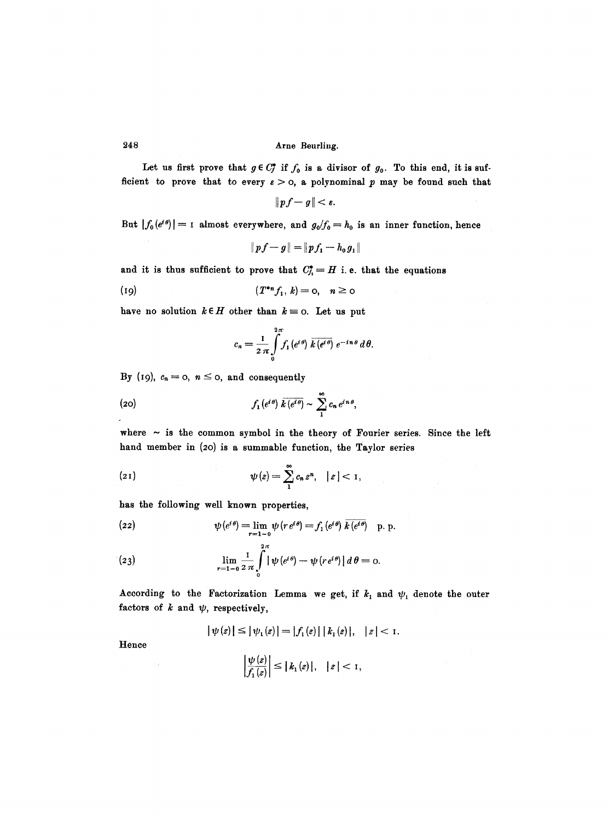Let us first prove that  $g \in C_f^*$  if  $f_0$  is a divisor of  $g_0$ . To this end, it is sufficient to prove that to every  $\varepsilon > 0$ , a polynominal p may be found such that

$$
\|p f-g\|<\varepsilon.
$$

But  $|f_0(e^{i\theta})|$  = 1 almost everywhere, and  $g_0/f_0=h_0$  is an inner function, hence

$$
\|p f - g\| = \|p f_1 - h_0 g_1\|
$$

and it is thus sufficient to prove that  $C^*_{j_i} = H$  i.e. that the equations

$$
(19) \qquad \qquad (T^*n f_1, k) = 0, \quad n \ge 0
$$

have no solution  $k \in H$  other than  $k = o$ . Let us put

$$
c_n=\frac{1}{2\,\pi}\int\limits_0^{2\,\pi}f_1\left(e^{i\,\theta}\right)\,\overline{k\left(e^{i\,\theta}\right)}\,e^{-\,i\,n\,\theta}\,d\,\theta.
$$

By (19),  $c_n=0$ ,  $n\leq 0$ , and consequently

(20) 
$$
f_1(e^{i\theta})\overline{k(e^{i\theta})}\sim \sum_1^{\infty}c_n e^{in\theta},
$$

where  $\sim$  is the common symbol in the theory of Fourier series. Since the left hand member in (20) is a summable function, the Taylor series

(21) 
$$
\psi(z) = \sum_{1}^{\infty} c_n z^n, \quad |z| < 1,
$$

has the following well known properties,

(22) 
$$
\psi(e^{i\theta}) = \lim_{r=1} \psi(r e^{i\theta}) = f_1(e^{i\theta}) \overline{k(e^{i\theta})} \quad p. p.
$$

(23) 
$$
\lim_{r=1-0} \frac{1}{2\pi} \int_{0}^{2\pi} |\psi(e^{i\theta}) - \psi(r e^{i\theta})| d\theta = 0.
$$

According to the Factorization Lemma we get, if  $k_1$  and  $\psi_1$  denote the outer factors of  $k$  and  $\psi$ , respectively,

$$
|\psi(z)| \leq |\psi_1(z)| = |f_1(z)| |k_1(z)|, |z| < 1.
$$

Hence

$$
\left|\frac{\psi(z)}{f_1(z)}\right| \leq |k_1(z)|, \quad |z| < 1,
$$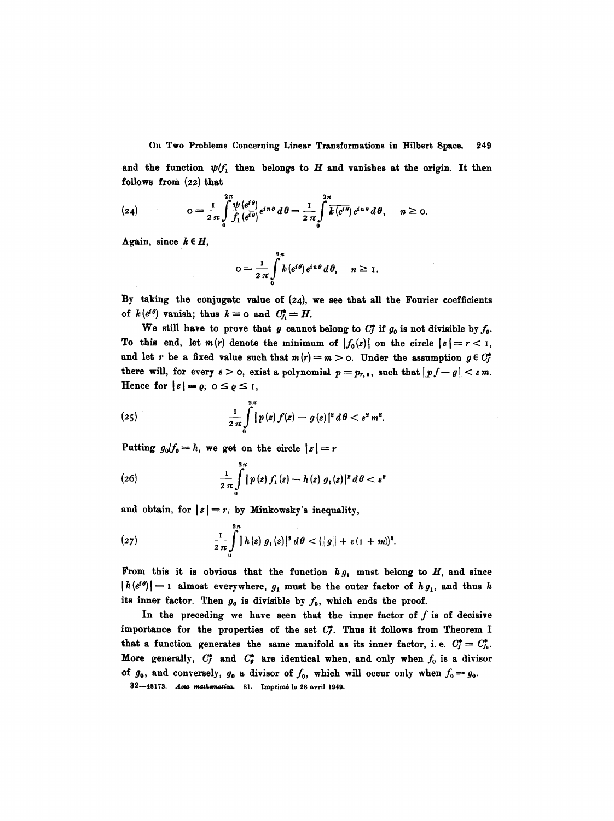and the function  $\psi/f_1$  then belongs to H and vanishes at the origin. It then follows from (22) that

(24) 
$$
o = \frac{1}{2\pi} \int_{0}^{2\pi} \frac{\psi(e^{i\theta})}{f_1(e^{i\theta})} e^{in\theta} d\theta = \frac{1}{2\pi} \int_{0}^{2\pi} \overline{k(e^{i\theta})} e^{in\theta} d\theta, \quad n \ge 0.
$$

Again, since  $k \in H$ ,

$$
o=\frac{1}{2\pi}\int\limits_{0}^{2\pi}k\left(e^{i\theta}\right)e^{in\theta}\,d\,\theta,\quad n\geq 1.
$$

By taking the conjugate value of (24), we see that all the Fourier coefficients of  $k(e^{i\theta})$  vanish; thus  $k \equiv$  0 and  $C_f^* = H$ .

We still have to prove that g cannot belong to  $C^*_r$  if  $g_0$  is not divisible by  $f_0$ . To this end, let  $m(r)$  denote the minimum of  $|f_0(z)|$  on the circle  $|z| = r < 1$ , and let r be a fixed value such that  $m(r)=m > 0$ . Under the assumption  $g \in C^*$ there will, for every  $\varepsilon > 0$ , exist a polynomial  $p = p_{r,\varepsilon}$ , such that  $||p f - g|| < \varepsilon m$ . Hence for  $|z| = \varrho$ ,  $0 \leq \varrho \leq 1$ ,

(25) 
$$
\frac{1}{2\pi}\int\limits_{0}^{2\pi}\left|p\left(z\right)f(z)-g\left(z\right)\right|^{2}d\theta<\epsilon^{2}m^{2}.
$$

Putting  $g_0/f_0=h$ , we get on the circle  $|z|=r$ 

(26) 
$$
\frac{1}{2 \pi} \int_{0}^{2\pi} |p(z) f_1(z) - h(z) g_1(z)|^2 d\theta < \epsilon^2
$$

and obtain, for  $|z|=r$ , by Minkowsky's inequality,

(27) 
$$
\frac{1}{2\pi}\int_{0}^{2\pi} |h(z) g_1(z)|^2 d\theta < (||g|| + \varepsilon (1+m))^2.
$$

From this it is obvious that the function  $hg_1$  must belong to  $H$ , and since  $|h(e^{i\theta})|=1$  almost everywhere,  $g_1$  must be the outer factor of  $h g_1$ , and thus h its inner factor. Then  $g_0$  is divisible by  $f_0$ , which ends the proof.

In the preceding we have seen that the inner factor of  $f$  is of decisive importance for the properties of the set  $C^*_r$ . Thus it follows from Theorem I that a function generates the same manifold as its inner factor, i.e.  $C^*_j = C^*_j$ . More generally,  $C_f^*$  and  $C_g^*$  are identical when, and only when  $f_0$  is a divisor of  $g_0$ , and conversely,  $g_0$  a divisor of  $f_0$ , which will occur only when  $f_0 = g_0$ .

32-48173. Acta mathematica. 81. Imprimé le 28 avril 1949.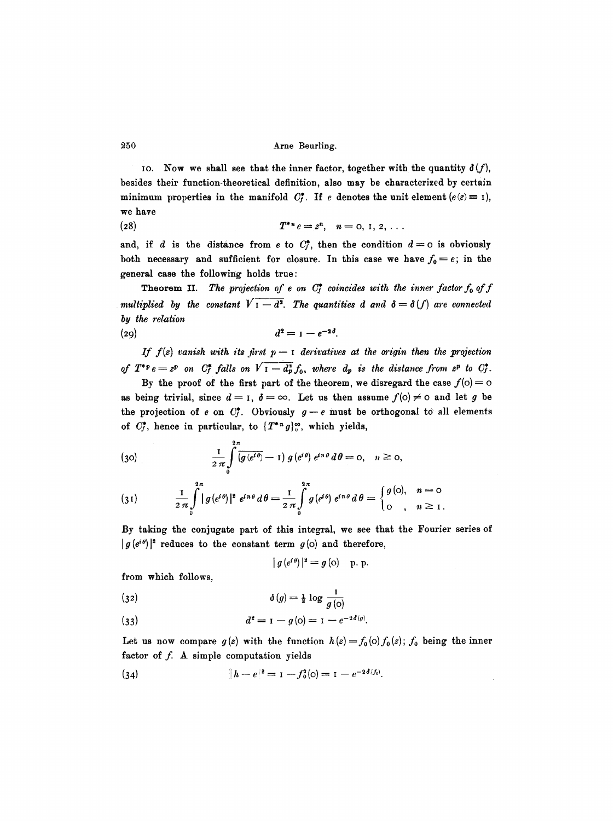IO. Now we shall see that the inner factor, together with the quantity  $\delta(f)$ , besides their function-theoretical definition, also may be characterized by certain minimum properties in the manifold  $C_f^*$ . If e denotes the unit element  $(e(z)=1)$ , we have

(28)  $T^{*n}e=z^n, n=0, 1, 2, ...$ 

and, if d is the distance from e to  $C_f^*$ , then the condition  $d=0$  is obviously both necessary and sufficient for closure. In this case we have  $f_0 = e$ ; in the general case the following holds true:

*multiplied by the constant*  $V_1 - d^2$ . The quantities  $d$  and  $\delta = \delta(f)$  are connected *by the relation*  **Theorem II.** The projection of e on  $C_f^*$  coincides with the inner factor  $f_0$  of  $f$ 

$$
d^2=1-e^{-2\delta}.
$$

*If f(z) vanish with its first*  $p-1$  *derivatives at the origin then the projection of*  $T^*P e = z^p$  on  $C_f^*$  falls on  $V I - d_p^* f_0$ , where  $d_p$  is the distance from  $z^p$  to  $C_f^*$ .

By the proof of the first part of the theorem, we disregard the case  $f(0)=0$ as being trivial, since  $d = 1$ ,  $\delta = \infty$ . Let us then assume  $f(0) \neq 0$  and let g be the projection of e on  $C_f^*$ . Obviously  $g-e$  must be orthogonal to all elements of  $C_f^*$ , hence in particular, to  $\{T^{*n} g\}_{\circ}^{\infty}$ , which yields,

(30) 
$$
\frac{1}{2\pi} \int_{0}^{2\pi} \overline{\left(g(e^{i\theta}) - 1\right)g(e^{i\theta})} \ e^{in\theta} d\theta = 0, \quad n \ge 0,
$$

$$
(31) \qquad \frac{1}{2 \pi} \int_{0}^{2\pi} |g(e^{i\theta})|^2 e^{in\theta} d\theta = \frac{1}{2 \pi} \int_{0}^{2\pi} g(e^{i\theta}) e^{in\theta} d\theta = \begin{cases} g(0), & n = 0 \\ 0, & n \ge 1. \end{cases}
$$

By taking the conjugate part of this integral, we see that the Fourier series of  $|g(e^{i\theta})|^2$  reduces to the constant term  $g(0)$  and therefore,

$$
|g(e^{i\theta})|^2 = g(o) \quad p. p.
$$

from which follows,

(32) 
$$
\delta(g) = \frac{1}{2} \log \frac{1}{g(o)}
$$

(33) 
$$
d^{2} = I - g(0) = I - e^{-2\delta(g)}.
$$

Let us now compare  $g(z)$  with the function  $h(z) = f_0(0) f_0(z)$ ;  $f_0$  being the inner factor of  $f$ . A simple computation yields

(34) 
$$
||h - e||^2 = 1 - f_0^2(0) = 1 - e^{-2\delta(f_0)}
$$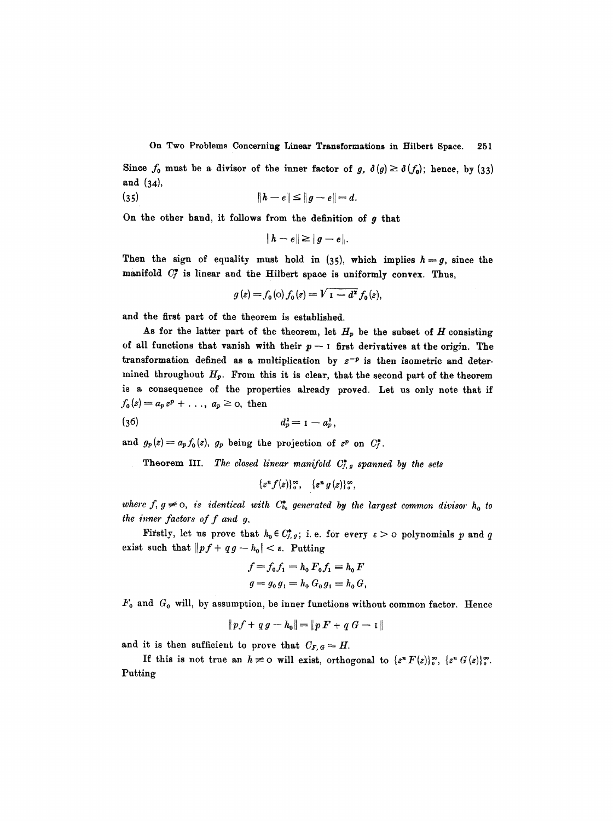Since  $f_0$  must be a divisor of the inner factor of *g,*  $\delta(g) \geq \delta(f_0)$ ; hence, by (33) **and (34),** 

(35) 
$$
\|h - e\| \le \|g - e\| = d.
$$

On the other hand, it follows from the definition of  $g$  that

$$
||h-e|| \geq ||g-e||.
$$

Then the sign of equality must hold in  $(35)$ , which implies  $h=g$ , since the manifold  $C_f^*$  is linear and the Hilbert space is uniformly convex. Thus,

$$
g(z) = f_0(0) f_0(z) = V_1 - d^2 f_0(z),
$$

and the first part of the theorem is established.

As for the latter part of the theorem, let  $H_p$  be the subset of  $H$  consisting of all functions that vanish with their  $p-1$  first derivatives at the origin. The transformation defined as a multiplication by  $z^{-p}$  is then isometric and determined throughout  $H_p$ . From this it is clear, that the second part of the theorem is a consequence of the properties already proved. Let us only note that if  $f_0(z) = a_p z^p + \ldots, a_p \ge 0$ , then

(36) 
$$
d_p^2 = 1 - a_p^2,
$$

and  $g_p(z)=a_p f_0(z)$ ,  $g_p$  being the projection of  $z^p$  on  $C_f^*$ .

Theorem III. The closed linear manifold  $C_{f,g}^*$  spanned by the sets

$$
\{z^n f(z)\}_{0}^{\infty}, \quad \{z^n g(z)\}_{0}^{\infty},
$$

where f,  $g \neq o$ , *is identical with*  $C_{h_0}^{\bullet}$  generated by the largest common divisor  $h_0$  to *the inner factors of f and g.* 

Firstly, let us prove that  $h_0 \in C^*_{f,g}$ ; i.e. for every  $\varepsilon > 0$  polynomials p and q exist such that  $||pf+qg-h_0|| < \varepsilon$ . Putting

$$
f = f_0 f_1 = h_0 F_0 f_1 \equiv h_0 F
$$
  

$$
g = g_0 g_1 = h_0 G_0 g_1 \equiv h_0 G,
$$

 $F_0$  and  $G_0$  will, by assumption, be inner functions without common factor. Hence

$$
\|p f + q g - h_0\| = \|p F + q G - 1\|
$$

and it is then sufficient to prove that  $C_{F,G} = H$ .

If this is not true an  $h \neq 0$  will exist, orthogonal to  $\{z^n F(z)\}\circ_{\alpha}^{\infty}, \{z^n G(z)\}\circ_{\alpha}^{\infty}.$ Putting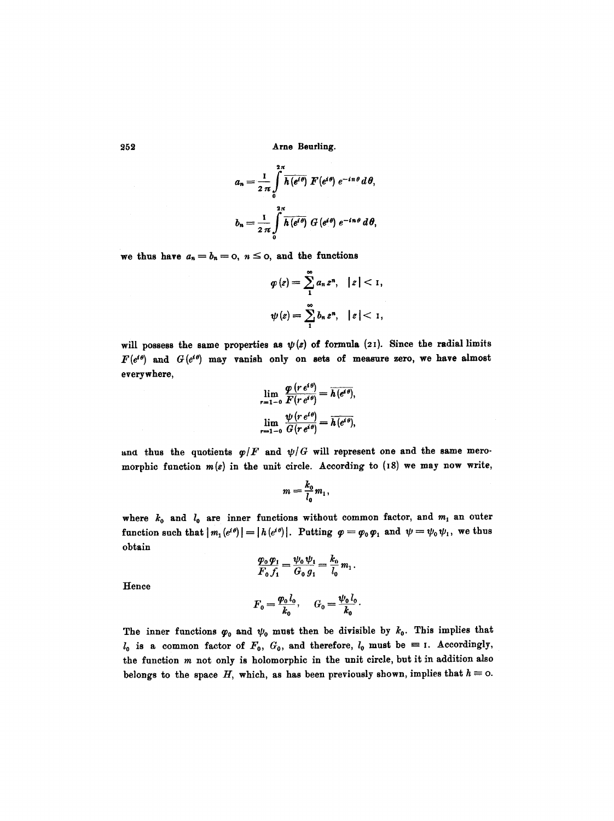$$
a_n = \frac{1}{2 \pi} \int_{0}^{2\pi} \overline{h(e^{i\theta})} F(e^{i\theta}) e^{-in\theta} d\theta,
$$
  

$$
b_n = \frac{1}{2 \pi} \int_{0}^{2\pi} \overline{h(e^{i\theta})} G(e^{i\theta}) e^{-in\theta} d\theta,
$$

we thus have  $a_n=b_n=0, n\leq 0$ , and the functions

$$
\varphi(z) = \sum_{1}^{\infty} a_n z^n, \quad |z| < 1,
$$
\n
$$
\psi(z) = \sum_{1}^{\infty} b_n z^n, \quad |z| < 1,
$$

will possess the same properties as  $\psi(z)$  of formula (21). Since the radial limits  $F(e^{i\theta})$  and  $G(e^{i\theta})$  may vanish only on sets of measure zero, we have almost everywhere,

$$
\lim_{r=1-0} \frac{\varphi(r e^{i\theta})}{F(r e^{i\theta})} = \overline{h(e^{i\theta})},
$$
  

$$
\lim_{r=1-0} \frac{\psi(r e^{i\theta})}{G(r e^{i\theta})} = \overline{h(e^{i\theta})},
$$

and thus the quotients  $\varphi/F$  and  $\psi/G$  will represent one and the same meromorphic function  $m(z)$  in the unit circle. According to (18) we may now write,

$$
m=\frac{k_0}{l_0}m_1,
$$

where  $k_0$  and  $l_0$  are inner functions without common factor, and  $m_1$  an outer function such that  $|m_1(e^{i\theta})| = |h(e^{i\theta})|$ . Putting  $\varphi = \varphi_0 \varphi_1$  and  $\psi = \psi_0 \psi_1$ , we thus obtain

$$
\frac{\varphi_0 \varphi_1}{F_0 f_1} = \frac{\psi_0 \psi_1}{G_0 g_1} = \frac{k_0}{l_0} m_1.
$$

Hence

$$
F_0 = \frac{\varphi_0 l_0}{k_0}, \quad G_0 = \frac{\psi_0 l_0}{k_0}.
$$

The inner functions  $\varphi_0$  and  $\psi_0$  must then be divisible by  $k_0$ . This implies that  $l_0$  is a common factor of  $F_0$ ,  $G_0$ , and therefore,  $l_0$  must be = 1. Accordingly, the function  $m$  not only is holomorphic in the unit circle, but it in addition also belongs to the space H, which, as has been previously shown, implies that  $h \equiv o$ .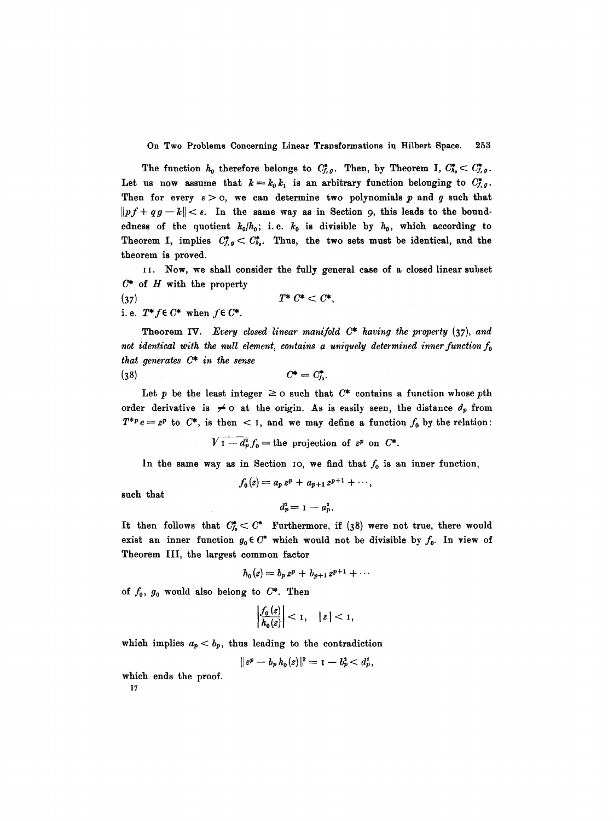The function  $h_0$  therefore belongs to  $C_{f,g}^*$ . Then, by Theorem I,  $C_{h_0}^* < C_{f,g}^*$ . Let us now assume that  $k=k_0k_1$  is an arbitrary function belonging to  $C^*_{f,g}$ . Then for every  $\varepsilon > 0$ , we can determine two polynomials p and q such that  $\|pf+ qg-k\| < \varepsilon$ . In the same way as in Section 9, this leads to the boundedness of the quotient  $k_0/h_0$ ; i.e.  $k_0$  is divisible by  $h_0$ , which according to Theorem I, implies  $C_{f,g}^* < C_{h_0}^*$ . Thus, the two sets must be identical, and the theorem is proved.

I I. Now, we shall consider the fully general case of a closed linear subset  $C^*$  of  $H$  with the property

(37)  $T^* C^* < C^*$ , *i.e.*  $T^* f \in C^*$  when  $f \in C^*$ .

Theorem IV. *Every closed linear manifold C\* having the property* (37), *and*  not identical with the null element, contains a uniquely determined inner function  $f_0$ *that generates C\* in the sense*  (38)  $C^* = C^*_{\!i}$ .

Let p be the least integer  $\geq$  o such that  $C^*$  contains a function whose pth

order derivative is  $\neq$  o at the origin. As is easily seen, the distance  $d_p$  from  $T^{*p}e=z^p$  to  $C^*$ , is then  $\lt 1$ , and we may define a function  $f_0$  by the relation:

 $V_1-d_p^2f_0=$  the projection of  $z^p$  on  $C^*$ .

In the same way as in Section 10, we find that  $f_0$  is an inner function,

such that

$$
f_0(z) = a_p z^p + a_{p+1} z^{p+1} + \cdots,
$$
  

$$
d_p^2 = 1 - a_p^2.
$$

It then follows that  $C^*_{f_0} < C^*$  Furthermore, if (38) were not true, there would exist an inner function  $g_0 \in C^*$  which would not be divisible by  $f_0$ . In view of Theorem III, the largest common factor

$$
h_0(z) = b_p z^p + b_{p+1} z^{p+1} + \cdots
$$

of  $f_0$ ,  $g_0$  would also belong to  $C^*$ . Then

$$
\left|\frac{f_0(z)}{h_0(z)}\right| < 1, \quad |z| < 1,
$$

which implies  $a_p < b_p$ , thus leading to the contradiction

$$
\|z^p-b_p\,h_o(z)\|^2=1-b_p^3
$$

which ends the proof.

17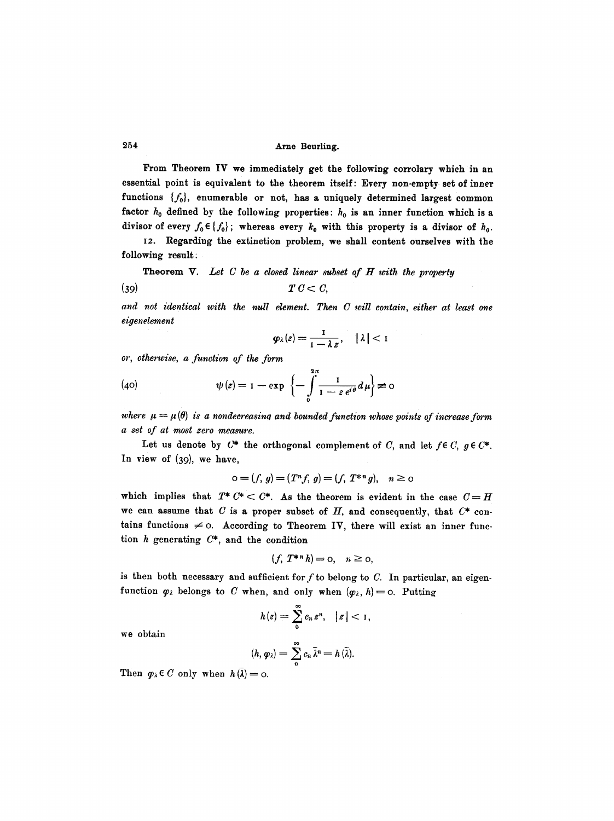From Theorem IV we immediately get the following corrolary which in an essential point is equivalent to the theorem itself: Every non-empty set of inner functions  $\{f_0\}$ , enumerable or not, has a uniquely determined largest common factor  $h_0$  defined by the following properties:  $h_0$  is an inner function which is a divisor of every  $f_0 \in \{f_0\}$ ; whereas every  $k_0$  with this property is a divisor of  $h_0$ .

I2. Regarding the extinction problem, we shall content ourselves with the following result :

Theorem V. Let C be a closed linear subset of H with the property

$$
(39) \t\t T C < C,
$$

*and not identical with the null element. Then C will contain, either at least one eigenelement* 

$$
\varphi_\lambda(z) = \frac{1}{1-\lambda z}, \quad |\lambda| < 1
$$

*or, otherwise, a function of the form* 

(40) 
$$
\psi(z) = 1 - \exp \left\{-\int_0^{2\pi} \frac{1}{1 - z e^{i\theta}} d\mu\right\} \neq 0
$$

*where*  $\mu = \mu(\theta)$  *is a nondecreasing and bounded function whose points of increase form a set of at most zero measure.* 

Let us denote by  $C^*$  the orthogonal complement of C, and let  $f \in C$ ,  $g \in C^*$ . In view of (39), we have,

$$
o = (f, g) = (T^n f, g) = (f, T^{*n} g), \quad n \ge 0
$$

which implies that  $T^* C^* < C^*$ . As the theorem is evident in the case  $C = H$ we can assume that  $C$  is a proper subset of  $H$ , and consequently, that  $C^*$  contains functions  $\neq$  0. According to Theorem IV, there will exist an inner function  $h$  generating  $C^*$ , and the condition

$$
(f, T^{*n}h) = 0, \quad n \ge 0,
$$

is then both necessary and sufficient for f to belong to  $C$ . In particular, an eigenfunction  $\varphi_{\lambda}$  belongs to C when, and only when  $(\varphi_{\lambda}, h) = \circ$ . Putting

$$
h(z)=\sum_0^{\infty}c_n z^n, \quad |z|<1,
$$

we obtain

$$
(h, \varphi_{\lambda}) = \sum_{0}^{\infty} c_{n} \overline{\lambda}^{n} = h(\overline{\lambda}).
$$

Then  $\varphi_{\lambda} \in C$  only when  $h(\lambda) = 0$ .